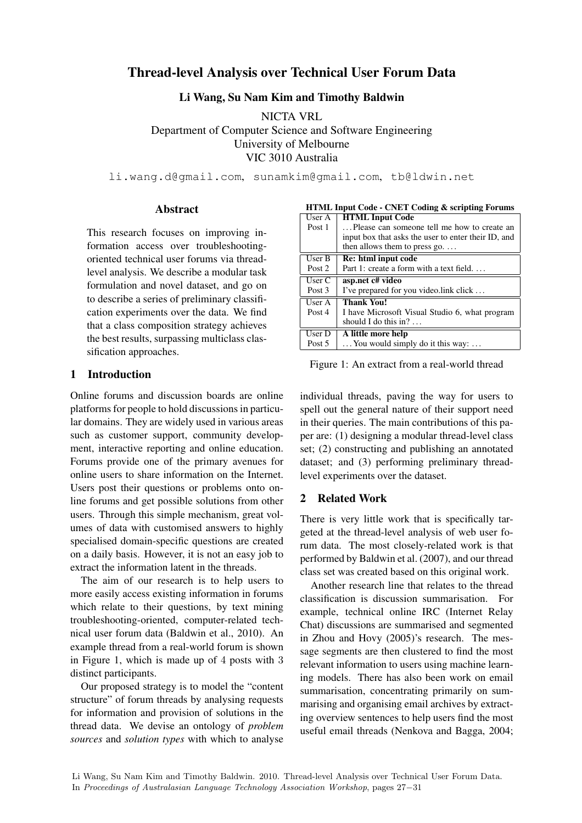# Thread-level Analysis over Technical User Forum Data

Li Wang, Su Nam Kim and Timothy Baldwin

NICTA VRL Department of Computer Science and Software Engineering University of Melbourne VIC 3010 Australia

li.wang.d@gmail.com, sunamkim@gmail.com, tb@ldwin.net

# Abstract

This research focuses on improving information access over troubleshootingoriented technical user forums via threadlevel analysis. We describe a modular task formulation and novel dataset, and go on to describe a series of preliminary classification experiments over the data. We find that a class composition strategy achieves the best results, surpassing multiclass classification approaches.

# 1 Introduction

Online forums and discussion boards are online platforms for people to hold discussions in particular domains. They are widely used in various areas such as customer support, community development, interactive reporting and online education. Forums provide one of the primary avenues for online users to share information on the Internet. Users post their questions or problems onto online forums and get possible solutions from other users. Through this simple mechanism, great volumes of data with customised answers to highly specialised domain-specific questions are created on a daily basis. However, it is not an easy job to extract the information latent in the threads.

The aim of our research is to help users to more easily access existing information in forums which relate to their questions, by text mining troubleshooting-oriented, computer-related technical user forum data (Baldwin et al., 2010). An example thread from a real-world forum is shown in Figure 1, which is made up of 4 posts with 3 distinct participants.

Our proposed strategy is to model the "content structure" of forum threads by analysing requests for information and provision of solutions in the thread data. We devise an ontology of *problem sources* and *solution types* with which to analyse

| HTML Input Code - CNET Coding & scripting Forums |                                                     |  |  |  |  |
|--------------------------------------------------|-----------------------------------------------------|--|--|--|--|
| User A                                           | <b>HTML Input Code</b>                              |  |  |  |  |
| Post 1                                           | Please can someone tell me how to create an         |  |  |  |  |
|                                                  | input box that asks the user to enter their ID, and |  |  |  |  |
|                                                  | then allows them to press go. $\dots$               |  |  |  |  |
| User B                                           | Re: html input code                                 |  |  |  |  |
| Post 2                                           | Part 1: create a form with a text field             |  |  |  |  |
| User C                                           | asp.net c# video                                    |  |  |  |  |
|                                                  |                                                     |  |  |  |  |
| Post 3                                           | I've prepared for you video. link click             |  |  |  |  |
| User A                                           | <b>Thank You!</b>                                   |  |  |  |  |
| Post 4                                           | I have Microsoft Visual Studio 6, what program      |  |  |  |  |
|                                                  | should I do this in? $\dots$                        |  |  |  |  |
| User D                                           | A little more help                                  |  |  |  |  |

HTML Input Code - CNET Coding & scripting Forums

Figure 1: An extract from a real-world thread

individual threads, paving the way for users to spell out the general nature of their support need in their queries. The main contributions of this paper are: (1) designing a modular thread-level class set; (2) constructing and publishing an annotated dataset; and (3) performing preliminary threadlevel experiments over the dataset.

## 2 Related Work

There is very little work that is specifically targeted at the thread-level analysis of web user forum data. The most closely-related work is that performed by Baldwin et al. (2007), and our thread class set was created based on this original work.

Another research line that relates to the thread classification is discussion summarisation. For example, technical online IRC (Internet Relay Chat) discussions are summarised and segmented in Zhou and Hovy (2005)'s research. The message segments are then clustered to find the most relevant information to users using machine learning models. There has also been work on email summarisation, concentrating primarily on summarising and organising email archives by extracting overview sentences to help users find the most useful email threads (Nenkova and Bagga, 2004;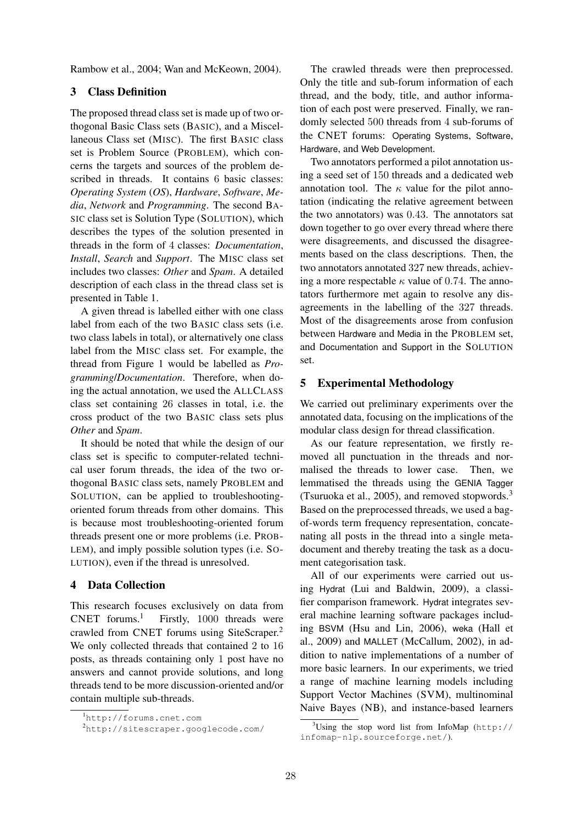Rambow et al., 2004; Wan and McKeown, 2004).

# 3 Class Definition

The proposed thread class set is made up of two orthogonal Basic Class sets (BASIC), and a Miscellaneous Class set (MISC). The first BASIC class set is Problem Source (PROBLEM), which concerns the targets and sources of the problem described in threads. It contains 6 basic classes: *Operating System* (*OS*), *Hardware*, *Software*, *Media*, *Network* and *Programming*. The second BA-SIC class set is Solution Type (SOLUTION), which describes the types of the solution presented in threads in the form of 4 classes: *Documentation*, *Install*, *Search* and *Support*. The MISC class set includes two classes: *Other* and *Spam*. A detailed description of each class in the thread class set is presented in Table 1.

A given thread is labelled either with one class label from each of the two BASIC class sets (i.e. two class labels in total), or alternatively one class label from the MISC class set. For example, the thread from Figure 1 would be labelled as *Programming*/*Documentation*. Therefore, when doing the actual annotation, we used the ALLCLASS class set containing 26 classes in total, i.e. the cross product of the two BASIC class sets plus *Other* and *Spam*.

It should be noted that while the design of our class set is specific to computer-related technical user forum threads, the idea of the two orthogonal BASIC class sets, namely PROBLEM and SOLUTION, can be applied to troubleshootingoriented forum threads from other domains. This is because most troubleshooting-oriented forum threads present one or more problems (i.e. PROB-LEM), and imply possible solution types (i.e. SO-LUTION), even if the thread is unresolved.

# 4 Data Collection

This research focuses exclusively on data from  $CNET$  forums.<sup>1</sup> Firstly, 1000 threads were crawled from CNET forums using SiteScraper. 2 We only collected threads that contained 2 to 16 posts, as threads containing only 1 post have no answers and cannot provide solutions, and long threads tend to be more discussion-oriented and/or contain multiple sub-threads.

The crawled threads were then preprocessed. Only the title and sub-forum information of each thread, and the body, title, and author information of each post were preserved. Finally, we randomly selected 500 threads from 4 sub-forums of the CNET forums: Operating Systems, Software, Hardware, and Web Development.

Two annotators performed a pilot annotation using a seed set of 150 threads and a dedicated web annotation tool. The  $\kappa$  value for the pilot annotation (indicating the relative agreement between the two annotators) was 0.43. The annotators sat down together to go over every thread where there were disagreements, and discussed the disagreements based on the class descriptions. Then, the two annotators annotated 327 new threads, achieving a more respectable  $\kappa$  value of 0.74. The annotators furthermore met again to resolve any disagreements in the labelling of the 327 threads. Most of the disagreements arose from confusion between Hardware and Media in the PROBLEM set, and Documentation and Support in the SOLUTION set.

#### 5 Experimental Methodology

We carried out preliminary experiments over the annotated data, focusing on the implications of the modular class design for thread classification.

As our feature representation, we firstly removed all punctuation in the threads and normalised the threads to lower case. Then, we lemmatised the threads using the GENIA Tagger (Tsuruoka et al., 2005), and removed stopwords. $3$ Based on the preprocessed threads, we used a bagof-words term frequency representation, concatenating all posts in the thread into a single metadocument and thereby treating the task as a document categorisation task.

All of our experiments were carried out using Hydrat (Lui and Baldwin, 2009), a classifier comparison framework. Hydrat integrates several machine learning software packages including BSVM (Hsu and Lin, 2006), weka (Hall et al., 2009) and MALLET (McCallum, 2002), in addition to native implementations of a number of more basic learners. In our experiments, we tried a range of machine learning models including Support Vector Machines (SVM), multinominal Naive Bayes (NB), and instance-based learners

<sup>1</sup>http://forums.cnet.com

<sup>2</sup>http://sitescraper.googlecode.com/

<sup>&</sup>lt;sup>3</sup>Using the stop word list from InfoMap (http:// infomap-nlp.sourceforge.net/).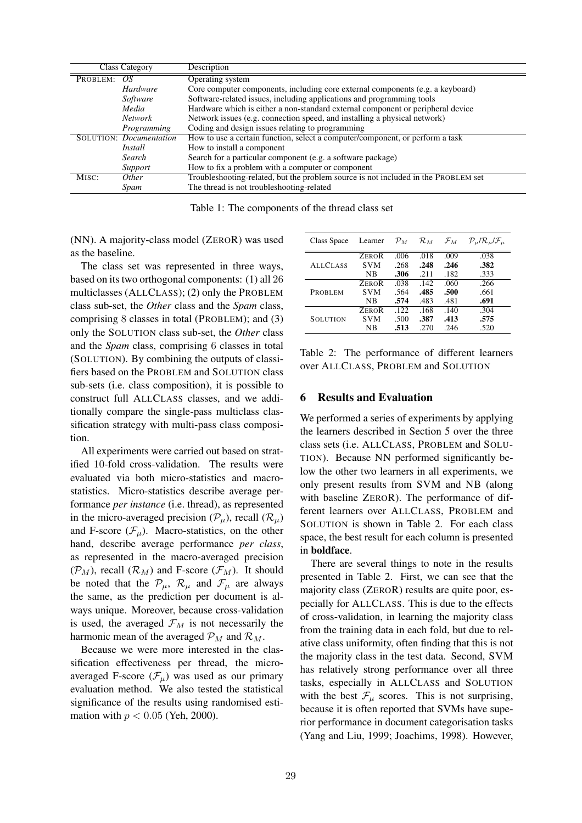|                    | Class Category                 | Description                                                                        |
|--------------------|--------------------------------|------------------------------------------------------------------------------------|
| PROBLEM:           | OS.                            | Operating system                                                                   |
|                    | <i>Hardware</i>                | Core computer components, including core external components (e.g. a keyboard)     |
|                    | Software                       | Software-related issues, including applications and programming tools              |
|                    | Media                          | Hardware which is either a non-standard external component or peripheral device    |
|                    | <b>Network</b>                 | Network issues (e.g. connection speed, and installing a physical network)          |
|                    | Programming                    | Coding and design issues relating to programming                                   |
|                    | <b>SOLUTION: Documentation</b> | How to use a certain function, select a computer/component, or perform a task      |
|                    | Install                        | How to install a component                                                         |
|                    | Search                         | Search for a particular component (e.g. a software package)                        |
|                    | Support                        | How to fix a problem with a computer or component                                  |
| M <sub>ISC</sub> : | <i>Other</i>                   | Troubleshooting-related, but the problem source is not included in the PROBLEM set |
|                    | Spam                           | The thread is not troubleshooting-related                                          |

Table 1: The components of the thread class set

(NN). A majority-class model (ZEROR) was used as the baseline.

The class set was represented in three ways, based on its two orthogonal components: (1) all 26 multiclasses (ALLCLASS); (2) only the PROBLEM class sub-set, the *Other* class and the *Spam* class, comprising 8 classes in total (PROBLEM); and (3) only the SOLUTION class sub-set, the *Other* class and the *Spam* class, comprising 6 classes in total (SOLUTION). By combining the outputs of classifiers based on the PROBLEM and SOLUTION class sub-sets (i.e. class composition), it is possible to construct full ALLCLASS classes, and we additionally compare the single-pass multiclass classification strategy with multi-pass class composition.

All experiments were carried out based on stratified 10-fold cross-validation. The results were evaluated via both micro-statistics and macrostatistics. Micro-statistics describe average performance *per instance* (i.e. thread), as represented in the micro-averaged precision  $(\mathcal{P}_{\mu})$ , recall  $(\mathcal{R}_{\mu})$ and F-score  $(\mathcal{F}_u)$ . Macro-statistics, on the other hand, describe average performance *per class*, as represented in the macro-averaged precision  $(\mathcal{P}_M)$ , recall  $(\mathcal{R}_M)$  and F-score  $(\mathcal{F}_M)$ . It should be noted that the  $\mathcal{P}_{\mu}$ ,  $\mathcal{R}_{\mu}$  and  $\mathcal{F}_{\mu}$  are always the same, as the prediction per document is always unique. Moreover, because cross-validation is used, the averaged  $\mathcal{F}_M$  is not necessarily the harmonic mean of the averaged  $\mathcal{P}_M$  and  $\mathcal{R}_M$ .

Because we were more interested in the classification effectiveness per thread, the microaveraged F-score  $(\mathcal{F}_{\mu})$  was used as our primary evaluation method. We also tested the statistical significance of the results using randomised estimation with  $p < 0.05$  (Yeh, 2000).

| Class Space     | Learner      | $\mathcal{P}_M$ | $\mathcal{R}_M$ $\mathcal{F}_M$ |      | $\mathcal{P}_{\mu}/\mathcal{R}_{\mu}/\mathcal{F}_{\mu}$ |
|-----------------|--------------|-----------------|---------------------------------|------|---------------------------------------------------------|
|                 | <b>ZEROR</b> | .006            | .018                            | .009 | .038                                                    |
| <b>ALLCLASS</b> | <b>SVM</b>   | .268            | .248                            | .246 | .382                                                    |
|                 | NΒ           | .306            | .211                            | .182 | .333                                                    |
|                 | <b>ZEROR</b> | .038            | .142                            | .060 | .266                                                    |
| <b>PROBLEM</b>  | <b>SVM</b>   | .564            | .485                            | .500 | .661                                                    |
|                 | <b>NB</b>    | .574            | .483                            | .481 | .691                                                    |
|                 | <b>ZEROR</b> | .122.           | .168                            | .140 | .304                                                    |
| <b>SOLUTION</b> | <b>SVM</b>   | .500            | .387                            | .413 | .575                                                    |
|                 | NΒ           | .513            | .270                            | .246 | .520                                                    |

Table 2: The performance of different learners over ALLCLASS, PROBLEM and SOLUTION

# 6 Results and Evaluation

We performed a series of experiments by applying the learners described in Section 5 over the three class sets (i.e. ALLCLASS, PROBLEM and SOLU-TION). Because NN performed significantly below the other two learners in all experiments, we only present results from SVM and NB (along with baseline ZEROR). The performance of different learners over ALLCLASS, PROBLEM and SOLUTION is shown in Table 2. For each class space, the best result for each column is presented in boldface.

There are several things to note in the results presented in Table 2. First, we can see that the majority class (ZEROR) results are quite poor, especially for ALLCLASS. This is due to the effects of cross-validation, in learning the majority class from the training data in each fold, but due to relative class uniformity, often finding that this is not the majority class in the test data. Second, SVM has relatively strong performance over all three tasks, especially in ALLCLASS and SOLUTION with the best  $\mathcal{F}_{\mu}$  scores. This is not surprising, because it is often reported that SVMs have superior performance in document categorisation tasks (Yang and Liu, 1999; Joachims, 1998). However,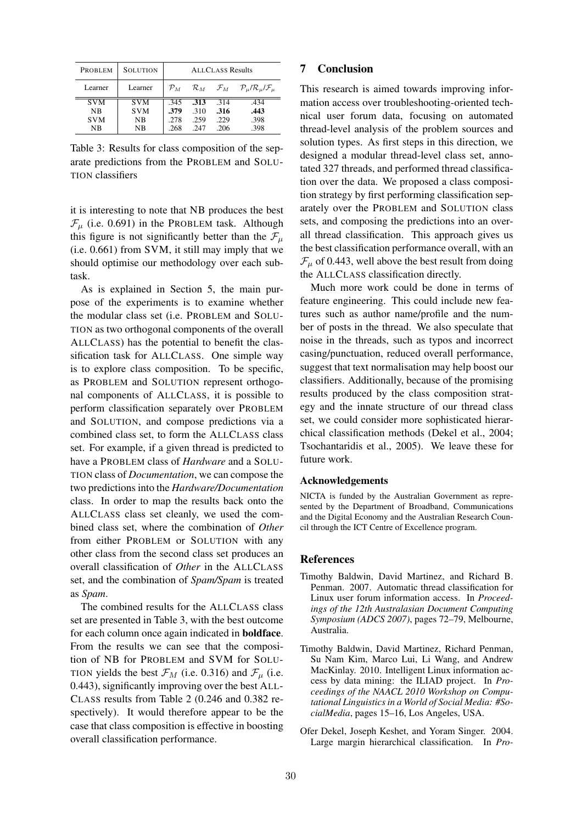| <b>PROBLEM</b> | <b>SOLUTION</b> | <b>ALLCLASS Results</b> |      |                                 |                                                         |  |
|----------------|-----------------|-------------------------|------|---------------------------------|---------------------------------------------------------|--|
| Learner        | Learner         | $\mathcal{P}_M$         |      | $\mathcal{R}_M$ $\mathcal{F}_M$ | $\mathcal{P}_{\mu}/\mathcal{R}_{\mu}/\mathcal{F}_{\mu}$ |  |
| <b>SVM</b>     | <b>SVM</b>      | .345                    | .313 | .314                            | .434                                                    |  |
| NB             | <b>SVM</b>      | .379                    | .310 | .316                            | .443                                                    |  |
| <b>SVM</b>     | NΒ              | .278                    | .259 | .229                            | .398                                                    |  |
| ΝB             | NΒ              | .268                    | -247 | -206                            | .398                                                    |  |

Table 3: Results for class composition of the separate predictions from the PROBLEM and SOLU-TION classifiers

it is interesting to note that NB produces the best  $\mathcal{F}_{\mu}$  (i.e. 0.691) in the PROBLEM task. Although this figure is not significantly better than the  $\mathcal{F}_{\mu}$ (i.e. 0.661) from SVM, it still may imply that we should optimise our methodology over each subtask.

As is explained in Section 5, the main purpose of the experiments is to examine whether the modular class set (i.e. PROBLEM and SOLU-TION as two orthogonal components of the overall ALLCLASS) has the potential to benefit the classification task for ALLCLASS. One simple way is to explore class composition. To be specific, as PROBLEM and SOLUTION represent orthogonal components of ALLCLASS, it is possible to perform classification separately over PROBLEM and SOLUTION, and compose predictions via a combined class set, to form the ALLCLASS class set. For example, if a given thread is predicted to have a PROBLEM class of *Hardware* and a SOLU-TION class of *Documentation*, we can compose the two predictions into the *Hardware/Documentation* class. In order to map the results back onto the ALLCLASS class set cleanly, we used the combined class set, where the combination of *Other* from either PROBLEM or SOLUTION with any other class from the second class set produces an overall classification of *Other* in the ALLCLASS set, and the combination of *Spam/Spam* is treated as *Spam*.

The combined results for the ALLCLASS class set are presented in Table 3, with the best outcome for each column once again indicated in boldface. From the results we can see that the composition of NB for PROBLEM and SVM for SOLU-TION yields the best  $\mathcal{F}_M$  (i.e. 0.316) and  $\mathcal{F}_\mu$  (i.e. 0.443), significantly improving over the best ALL-CLASS results from Table 2 (0.246 and 0.382 respectively). It would therefore appear to be the case that class composition is effective in boosting overall classification performance.

## 7 Conclusion

This research is aimed towards improving information access over troubleshooting-oriented technical user forum data, focusing on automated thread-level analysis of the problem sources and solution types. As first steps in this direction, we designed a modular thread-level class set, annotated 327 threads, and performed thread classification over the data. We proposed a class composition strategy by first performing classification separately over the PROBLEM and SOLUTION class sets, and composing the predictions into an overall thread classification. This approach gives us the best classification performance overall, with an  $\mathcal{F}_{\mu}$  of 0.443, well above the best result from doing the ALLCLASS classification directly.

Much more work could be done in terms of feature engineering. This could include new features such as author name/profile and the number of posts in the thread. We also speculate that noise in the threads, such as typos and incorrect casing/punctuation, reduced overall performance, suggest that text normalisation may help boost our classifiers. Additionally, because of the promising results produced by the class composition strategy and the innate structure of our thread class set, we could consider more sophisticated hierarchical classification methods (Dekel et al., 2004; Tsochantaridis et al., 2005). We leave these for future work.

#### Acknowledgements

NICTA is funded by the Australian Government as represented by the Department of Broadband, Communications and the Digital Economy and the Australian Research Council through the ICT Centre of Excellence program.

#### References

- Timothy Baldwin, David Martinez, and Richard B. Penman. 2007. Automatic thread classification for Linux user forum information access. In *Proceedings of the 12th Australasian Document Computing Symposium (ADCS 2007)*, pages 72–79, Melbourne, Australia.
- Timothy Baldwin, David Martinez, Richard Penman, Su Nam Kim, Marco Lui, Li Wang, and Andrew MacKinlay. 2010. Intelligent Linux information access by data mining: the ILIAD project. In *Proceedings of the NAACL 2010 Workshop on Computational Linguisticsin a World of Social Media: #SocialMedia*, pages 15–16, Los Angeles, USA.
- Ofer Dekel, Joseph Keshet, and Yoram Singer. 2004. Large margin hierarchical classification. In *Pro-*